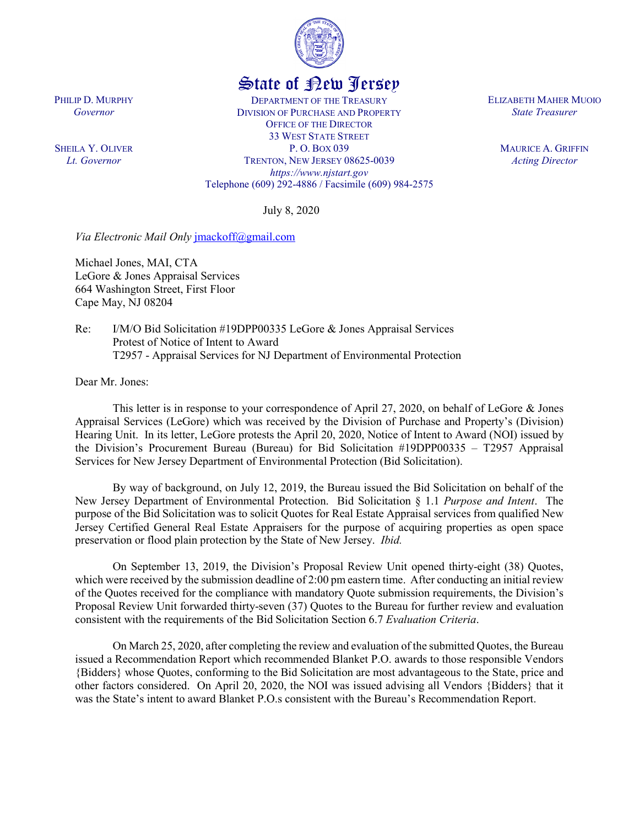

## State of New Jersey

DEPARTMENT OF THE TREASURY DIVISION OF PURCHASE AND PROPERTY OFFICE OF THE DIRECTOR 33 WEST STATE STREET P. O. BOX 039 TRENTON, NEW JERSEY 08625-0039 *https://www.njstart.gov* Telephone (609) 292-4886 / Facsimile (609) 984-2575

July 8, 2020

*Via Electronic Mail Only* [jmackoff@gmail.com](mailto:jmackoff@gmail.com)

Michael Jones, MAI, CTA LeGore & Jones Appraisal Services 664 Washington Street, First Floor Cape May, NJ 08204

Re: I/M/O Bid Solicitation #19DPP00335 LeGore & Jones Appraisal Services Protest of Notice of Intent to Award T2957 - Appraisal Services for NJ Department of Environmental Protection

Dear Mr. Jones:

PHILIP D. MURPHY *Governor*

SHEILA Y. OLIVER *Lt. Governor*

> This letter is in response to your correspondence of April 27, 2020, on behalf of LeGore & Jones Appraisal Services (LeGore) which was received by the Division of Purchase and Property's (Division) Hearing Unit. In its letter, LeGore protests the April 20, 2020, Notice of Intent to Award (NOI) issued by the Division's Procurement Bureau (Bureau) for Bid Solicitation #19DPP00335 – T2957 Appraisal Services for New Jersey Department of Environmental Protection (Bid Solicitation).

> By way of background, on July 12, 2019, the Bureau issued the Bid Solicitation on behalf of the New Jersey Department of Environmental Protection. Bid Solicitation § 1.1 *Purpose and Intent*. The purpose of the Bid Solicitation was to solicit Quotes for Real Estate Appraisal services from qualified New Jersey Certified General Real Estate Appraisers for the purpose of acquiring properties as open space preservation or flood plain protection by the State of New Jersey. *Ibid.*

> On September 13, 2019, the Division's Proposal Review Unit opened thirty-eight (38) Quotes, which were received by the submission deadline of 2:00 pm eastern time. After conducting an initial review of the Quotes received for the compliance with mandatory Quote submission requirements, the Division's Proposal Review Unit forwarded thirty-seven (37) Quotes to the Bureau for further review and evaluation consistent with the requirements of the Bid Solicitation Section 6.7 *Evaluation Criteria*.

> On March 25, 2020, after completing the review and evaluation of the submitted Quotes, the Bureau issued a Recommendation Report which recommended Blanket P.O. awards to those responsible Vendors {Bidders} whose Quotes, conforming to the Bid Solicitation are most advantageous to the State, price and other factors considered. On April 20, 2020, the NOI was issued advising all Vendors {Bidders} that it was the State's intent to award Blanket P.O.s consistent with the Bureau's Recommendation Report.

ELIZABETH MAHER MUOIO *State Treasurer*

> MAURICE A. GRIFFIN *Acting Director*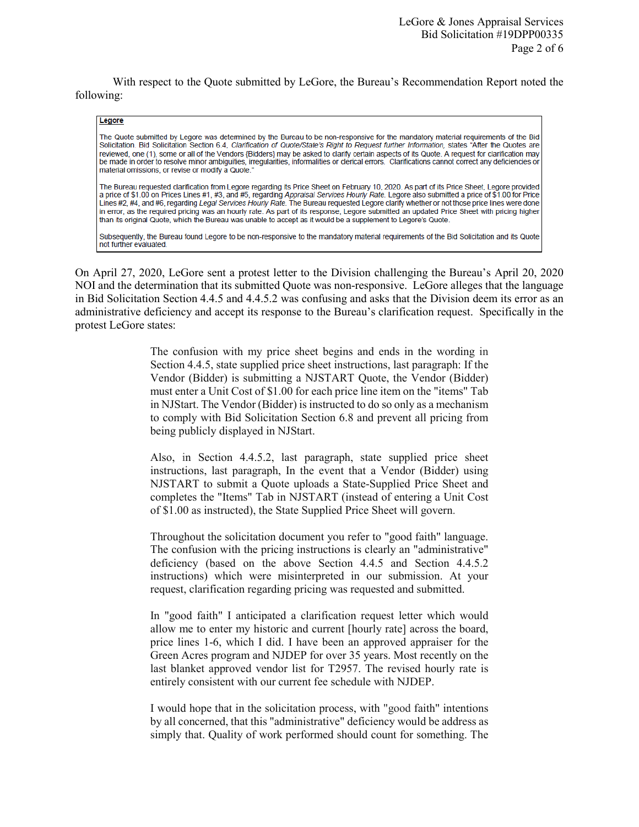With respect to the Quote submitted by LeGore, the Bureau's Recommendation Report noted the following:

## Legore

The Quote submitted by Legore was determined by the Bureau to be non-responsive for the mandatory material requirements of the Bid Solicitation. Bid Solicitation Section 6.4, Clarification of Quote/State's Right to Request further Information, states "After the Quotes are reviewed, one (1), some or all of the Vendors {Bidders} may be asked to clarify certain aspects of its Quote. A request for clarification may be made in order to resolve minor ambiguities, irregularities, informalities or clerical errors. Clarifications cannot correct any deficiencies or material omissions, or revise or modify a Quote."

The Bureau requested clarification from Legore regarding its Price Sheet on February 10, 2020. As part of its Price Sheet, Legore provided a price of \$1.00 on Prices Lines #1, #3, and #5, regarding Appraisal Services Hourly Rate. Legore also submitted a price of \$1.00 for Price Lines #2, #4, and #6, regarding Legal Services Hourly Rate. The Bureau requested Legore clarify whether or not those price lines were done in error, as the required pricing was an hourly rate. As part of its response, Legore submitted an updated Price Sheet with pricing higher than its original Quote, which the Bureau was unable to accept as it would be a supplement to Legore's Quote.

Subsequently, the Bureau found Legore to be non-responsive to the mandatory material requirements of the Bid Solicitation and its Quote not further evaluated.

On April 27, 2020, LeGore sent a protest letter to the Division challenging the Bureau's April 20, 2020 NOI and the determination that its submitted Quote was non-responsive. LeGore alleges that the language in Bid Solicitation Section 4.4.5 and 4.4.5.2 was confusing and asks that the Division deem its error as an administrative deficiency and accept its response to the Bureau's clarification request. Specifically in the protest LeGore states:

> The confusion with my price sheet begins and ends in the wording in Section 4.4.5, state supplied price sheet instructions, last paragraph: If the Vendor (Bidder) is submitting a NJSTART Quote, the Vendor (Bidder) must enter a Unit Cost of \$1.00 for each price line item on the "items" Tab in NJStart. The Vendor (Bidder) is instructed to do so only as a mechanism to comply with Bid Solicitation Section 6.8 and prevent all pricing from being publicly displayed in NJStart.

> Also, in Section 4.4.5.2, last paragraph, state supplied price sheet instructions, last paragraph, In the event that a Vendor (Bidder) using NJSTART to submit a Quote uploads a State-Supplied Price Sheet and completes the "Items" Tab in NJSTART (instead of entering a Unit Cost of \$1.00 as instructed), the State Supplied Price Sheet will govern.

> Throughout the solicitation document you refer to "good faith" language. The confusion with the pricing instructions is clearly an "administrative" deficiency (based on the above Section 4.4.5 and Section 4.4.5.2 instructions) which were misinterpreted in our submission. At your request, clarification regarding pricing was requested and submitted.

> In "good faith" I anticipated a clarification request letter which would allow me to enter my historic and current [hourly rate] across the board, price lines 1-6, which I did. I have been an approved appraiser for the Green Acres program and NJDEP for over 35 years. Most recently on the last blanket approved vendor list for T2957. The revised hourly rate is entirely consistent with our current fee schedule with NJDEP.

> I would hope that in the solicitation process, with "good faith" intentions by all concerned, that this "administrative" deficiency would be address as simply that. Quality of work performed should count for something. The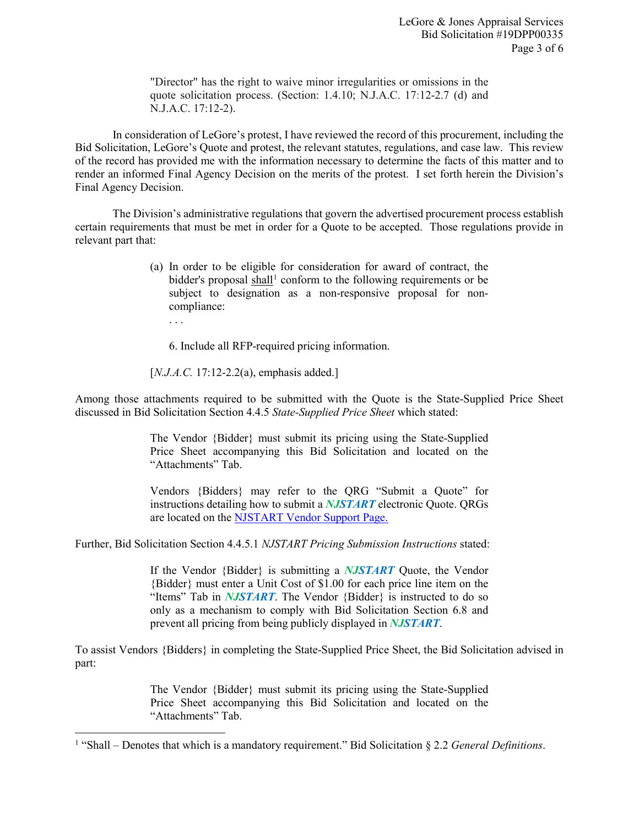"Director" has the right to waive minor irregularities or omissions in the quote solicitation process. (Section: 1.4.10; N.J.A.C. 17:12-2.7 (d) and N.J.A.C. 17:12-2).

In consideration of LeGore's protest, I have reviewed the record of this procurement, including the Bid Solicitation, LeGore's Quote and protest, the relevant statutes, regulations, and case law. This review of the record has provided me with the information necessary to determine the facts of this matter and to render an informed Final Agency Decision on the merits of the protest. I set forth herein the Division's Final Agency Decision.

The Division's administrative regulations that govern the advertised procurement process establish certain requirements that must be met in order for a Quote to be accepted. Those regulations provide in relevant part that:

- (a) In order to be eligible for consideration for award of contract, the bidder's proposal  $\frac{\text{shall}}{\text{1}}$  $\frac{\text{shall}}{\text{1}}$  $\frac{\text{shall}}{\text{1}}$  conform to the following requirements or be subject to designation as a non-responsive proposal for noncompliance:
	- . . .

l

6. Include all RFP-required pricing information.

[*N.J.A.C.* 17:12-2.2(a), emphasis added.]

Among those attachments required to be submitted with the Quote is the State-Supplied Price Sheet discussed in Bid Solicitation Section 4.4.5 *State-Supplied Price Sheet* which stated:

> The Vendor {Bidder} must submit its pricing using the State-Supplied Price Sheet accompanying this Bid Solicitation and located on the "Attachments" Tab.

> Vendors {Bidders} may refer to the QRG "Submit a Quote" for instructions detailing how to submit a *NJSTART* electronic Quote. QRGs are located on the [NJSTART Vendor Support Page.](http://www.state.nj.us/treasury/purchase/njstart/vendor.shtml)

Further, Bid Solicitation Section 4.4.5.1 *NJSTART Pricing Submission Instructions* stated:

If the Vendor {Bidder} is submitting a *NJSTART* Quote, the Vendor {Bidder} must enter a Unit Cost of \$1.00 for each price line item on the "Items" Tab in *NJSTART*. The Vendor {Bidder} is instructed to do so only as a mechanism to comply with Bid Solicitation Section 6.8 and prevent all pricing from being publicly displayed in *NJSTART*.

To assist Vendors {Bidders} in completing the State-Supplied Price Sheet, the Bid Solicitation advised in part:

> The Vendor {Bidder} must submit its pricing using the State-Supplied Price Sheet accompanying this Bid Solicitation and located on the "Attachments" Tab.

<span id="page-2-0"></span><sup>1</sup> "Shall – Denotes that which is a mandatory requirement." Bid Solicitation § 2.2 *General Definitions*.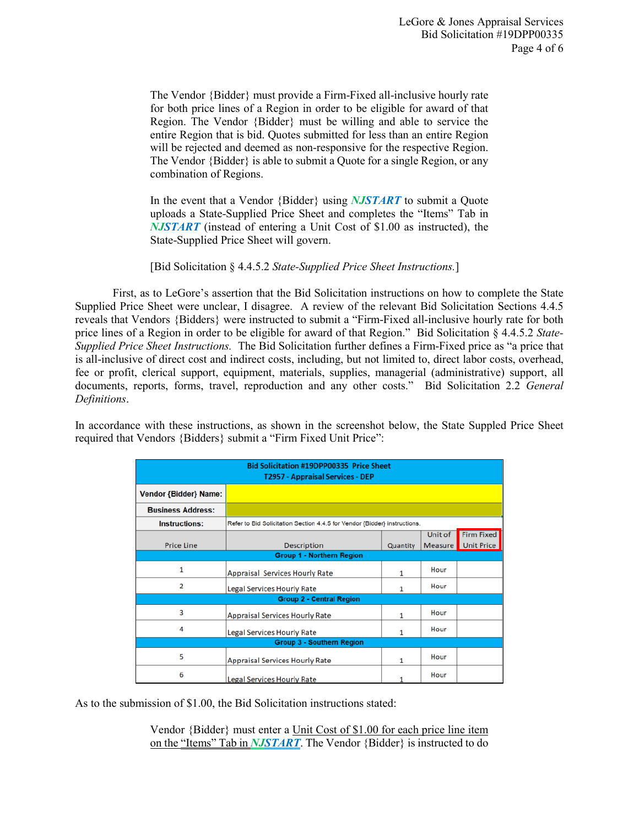The Vendor {Bidder} must provide a Firm-Fixed all-inclusive hourly rate for both price lines of a Region in order to be eligible for award of that Region. The Vendor {Bidder} must be willing and able to service the entire Region that is bid. Quotes submitted for less than an entire Region will be rejected and deemed as non-responsive for the respective Region. The Vendor {Bidder} is able to submit a Quote for a single Region, or any combination of Regions.

In the event that a Vendor {Bidder} using *NJSTART* to submit a Quote uploads a State-Supplied Price Sheet and completes the "Items" Tab in *NJSTART* (instead of entering a Unit Cost of \$1.00 as instructed), the State-Supplied Price Sheet will govern.

[Bid Solicitation § 4.4.5.2 *State-Supplied Price Sheet Instructions.*]

First, as to LeGore's assertion that the Bid Solicitation instructions on how to complete the State Supplied Price Sheet were unclear, I disagree. A review of the relevant Bid Solicitation Sections 4.4.5 reveals that Vendors {Bidders} were instructed to submit a "Firm-Fixed all-inclusive hourly rate for both price lines of a Region in order to be eligible for award of that Region." Bid Solicitation § 4.4.5.2 *State-Supplied Price Sheet Instructions.* The Bid Solicitation further defines a Firm-Fixed price as "a price that is all-inclusive of direct cost and indirect costs, including, but not limited to, direct labor costs, overhead, fee or profit, clerical support, equipment, materials, supplies, managerial (administrative) support, all documents, reports, forms, travel, reproduction and any other costs." Bid Solicitation 2.2 *General Definitions*.

In accordance with these instructions, as shown in the screenshot below, the State Suppled Price Sheet required that Vendors {Bidders} submit a "Firm Fixed Unit Price":

| <b>Bid Solicitation #19DPP00335 Price Sheet</b><br><b>T2957 - Appraisal Services - DEP</b> |                                                                           |          |         |                   |  |  |  |  |  |  |
|--------------------------------------------------------------------------------------------|---------------------------------------------------------------------------|----------|---------|-------------------|--|--|--|--|--|--|
| <b>Vendor {Bidder} Name:</b>                                                               |                                                                           |          |         |                   |  |  |  |  |  |  |
| <b>Business Address:</b>                                                                   |                                                                           |          |         |                   |  |  |  |  |  |  |
| Instructions:                                                                              | Refer to Bid Solicitation Section 4.4.5 for Vendor {Bidder} instructions. |          |         |                   |  |  |  |  |  |  |
|                                                                                            |                                                                           |          | Unit of | <b>Firm Fixed</b> |  |  |  |  |  |  |
| <b>Price Line</b>                                                                          | <b>Description</b>                                                        | Quantity | Measure | <b>Unit Price</b> |  |  |  |  |  |  |
| <b>Group 1 - Northern Region</b>                                                           |                                                                           |          |         |                   |  |  |  |  |  |  |
| $\mathbf{1}$                                                                               | <b>Appraisal Services Hourly Rate</b>                                     | 1        | Hour    |                   |  |  |  |  |  |  |
| 2                                                                                          | <b>Legal Services Hourly Rate</b>                                         | 1        | Hour    |                   |  |  |  |  |  |  |
| <b>Group 2 - Central Region</b>                                                            |                                                                           |          |         |                   |  |  |  |  |  |  |
| 3                                                                                          | <b>Appraisal Services Hourly Rate</b>                                     | 1        | Hour    |                   |  |  |  |  |  |  |
| 4                                                                                          | <b>Legal Services Hourly Rate</b>                                         | 1        | Hour    |                   |  |  |  |  |  |  |
| <b>Group 3 - Southern Region</b>                                                           |                                                                           |          |         |                   |  |  |  |  |  |  |
| 5                                                                                          | <b>Appraisal Services Hourly Rate</b>                                     | 1        | Hour    |                   |  |  |  |  |  |  |
| 6                                                                                          | Legal Services Hourly Rate                                                |          | Hour    |                   |  |  |  |  |  |  |

As to the submission of \$1.00, the Bid Solicitation instructions stated:

Vendor {Bidder} must enter a Unit Cost of \$1.00 for each price line item on the "Items" Tab in *NJSTART*. The Vendor {Bidder} is instructed to do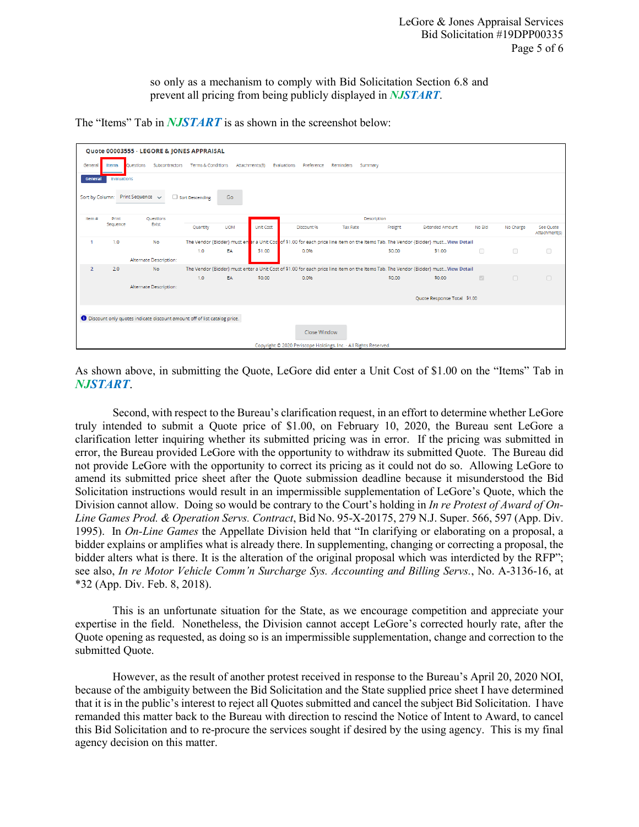so only as a mechanism to comply with Bid Solicitation Section 6.8 and prevent all pricing from being publicly displayed in *NJSTART*.

The "Items" Tab in *NJSTART* is as shown in the screenshot below:

| Quote 00003555 - LEGORE & JONES APPRAISAL                                                                                                                             |                                                                                                                                                         |                                                                          |                             |             |                  |            |                 |         |                                                                                                                                      |        |           |                            |
|-----------------------------------------------------------------------------------------------------------------------------------------------------------------------|---------------------------------------------------------------------------------------------------------------------------------------------------------|--------------------------------------------------------------------------|-----------------------------|-------------|------------------|------------|-----------------|---------|--------------------------------------------------------------------------------------------------------------------------------------|--------|-----------|----------------------------|
| <b>Terms &amp; Conditions</b><br>Preference<br>Subcontractors<br>Attachments(3)<br>Evaluations<br>Reminders<br>General<br><b>Duestions</b><br>Summary<br><b>Items</b> |                                                                                                                                                         |                                                                          |                             |             |                  |            |                 |         |                                                                                                                                      |        |           |                            |
| Evaluations<br>General                                                                                                                                                |                                                                                                                                                         |                                                                          |                             |             |                  |            |                 |         |                                                                                                                                      |        |           |                            |
| Print Sequence $\sqrt{}$<br>Sort by Column:<br>Sort Descending<br>Go                                                                                                  |                                                                                                                                                         |                                                                          |                             |             |                  |            |                 |         |                                                                                                                                      |        |           |                            |
| Item#                                                                                                                                                                 | Print                                                                                                                                                   | Questions<br>Exist                                                       |                             | Description |                  |            |                 |         |                                                                                                                                      |        |           |                            |
|                                                                                                                                                                       | Sequence                                                                                                                                                |                                                                          | Quantity                    | <b>UOM</b>  | <b>Unit Cost</b> | Discount % | <b>Tax Rate</b> | Freight | <b>Extended Amount</b>                                                                                                               | No Bld | No Charge | See Quote<br>Attachment(s) |
| 1                                                                                                                                                                     | 1.0                                                                                                                                                     | No                                                                       |                             |             |                  |            |                 |         | The Vendor {Bidder} must enternal Unit Cost of \$1.00 for each price line item on the Items Tab. The Vendor {Bidder} mustView Detail |        |           |                            |
|                                                                                                                                                                       |                                                                                                                                                         |                                                                          | 1.0                         | EA          | \$1.00           | 0.0%       |                 | \$0.00  | \$1.00                                                                                                                               | $\Box$ | $\Box$    | $\Box$                     |
|                                                                                                                                                                       |                                                                                                                                                         | Alternate Description:                                                   |                             |             |                  |            |                 |         |                                                                                                                                      |        |           |                            |
| $\overline{2}$                                                                                                                                                        | The Vendor {Bidder} must enter a Unit Cost of \$1.00 for each price line item on the Items Tab. The Vendor {Bidder} mustView Detail<br><b>No</b><br>2.0 |                                                                          |                             |             |                  |            |                 |         |                                                                                                                                      |        |           |                            |
|                                                                                                                                                                       |                                                                                                                                                         |                                                                          | 1.0                         | EA          | \$0.00           | 0.0%       |                 | \$0.00  | \$0.00                                                                                                                               | $\Box$ | $\Box$    | $\Box$                     |
|                                                                                                                                                                       |                                                                                                                                                         | Alternate Description:                                                   |                             |             |                  |            |                 |         |                                                                                                                                      |        |           |                            |
|                                                                                                                                                                       |                                                                                                                                                         |                                                                          | Quote Response Total \$1.00 |             |                  |            |                 |         |                                                                                                                                      |        |           |                            |
|                                                                                                                                                                       |                                                                                                                                                         |                                                                          |                             |             |                  |            |                 |         |                                                                                                                                      |        |           |                            |
|                                                                                                                                                                       |                                                                                                                                                         | Discount only quotes indicate discount amount off of list catalog price. |                             |             |                  |            |                 |         |                                                                                                                                      |        |           |                            |
|                                                                                                                                                                       |                                                                                                                                                         |                                                                          |                             |             |                  |            |                 |         |                                                                                                                                      |        |           |                            |
| Close Window                                                                                                                                                          |                                                                                                                                                         |                                                                          |                             |             |                  |            |                 |         |                                                                                                                                      |        |           |                            |
| Copyright @ 2020 Periscope Holdings, Inc. - All Rights Reserved.                                                                                                      |                                                                                                                                                         |                                                                          |                             |             |                  |            |                 |         |                                                                                                                                      |        |           |                            |

As shown above, in submitting the Quote, LeGore did enter a Unit Cost of \$1.00 on the "Items" Tab in *NJSTART*.

Second, with respect to the Bureau's clarification request, in an effort to determine whether LeGore truly intended to submit a Quote price of \$1.00, on February 10, 2020, the Bureau sent LeGore a clarification letter inquiring whether its submitted pricing was in error. If the pricing was submitted in error, the Bureau provided LeGore with the opportunity to withdraw its submitted Quote. The Bureau did not provide LeGore with the opportunity to correct its pricing as it could not do so. Allowing LeGore to amend its submitted price sheet after the Quote submission deadline because it misunderstood the Bid Solicitation instructions would result in an impermissible supplementation of LeGore's Quote, which the Division cannot allow. Doing so would be contrary to the Court's holding in *In re Protest of Award of On-Line Games Prod. & Operation Servs. Contract*, Bid No. 95-X-20175, 279 N.J. Super. 566, 597 (App. Div. 1995). In *On-Line Games* the Appellate Division held that "In clarifying or elaborating on a proposal, a bidder explains or amplifies what is already there. In supplementing, changing or correcting a proposal, the bidder alters what is there. It is the alteration of the original proposal which was interdicted by the RFP"; see also, *In re Motor Vehicle Comm'n Surcharge Sys. Accounting and Billing Servs.*, No. A-3136-16, at \*32 (App. Div. Feb. 8, 2018).

This is an unfortunate situation for the State, as we encourage competition and appreciate your expertise in the field. Nonetheless, the Division cannot accept LeGore's corrected hourly rate, after the Quote opening as requested, as doing so is an impermissible supplementation, change and correction to the submitted Quote.

However, as the result of another protest received in response to the Bureau's April 20, 2020 NOI, because of the ambiguity between the Bid Solicitation and the State supplied price sheet I have determined that it is in the public's interest to reject all Quotes submitted and cancel the subject Bid Solicitation. I have remanded this matter back to the Bureau with direction to rescind the Notice of Intent to Award, to cancel this Bid Solicitation and to re-procure the services sought if desired by the using agency. This is my final agency decision on this matter.